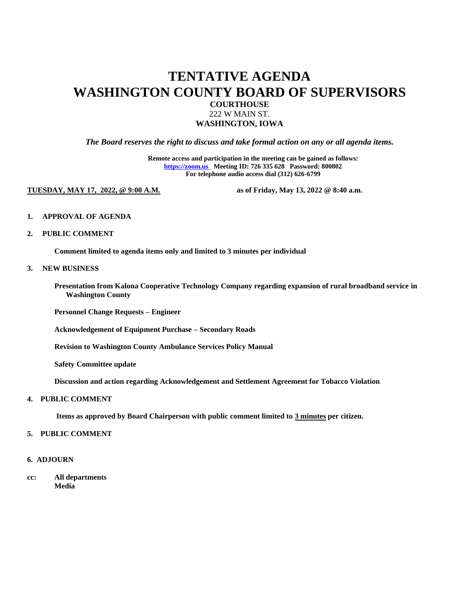## **TENTATIVE AGENDA WASHINGTON COUNTY BOARD OF SUPERVISORS**

**COURTHOUSE**

222 W MAIN ST. **WASHINGTON, IOWA** 

*The Board reserves the right to discuss and take formal action on any or all agenda items.*

**Remote access and participation in the meeting can be gained as follows: [https://zoom.us](https://zoom.us/) Meeting ID: 726 335 628 Password: 800802 For telephone audio access dial (312) 626-6799**

**TUESDAY, MAY 17, 2022, @ 9:00 A.M. as of Friday, May 13, 2022 @ 8:40 a.m.**

- **1. APPROVAL OF AGENDA**
- **2. PUBLIC COMMENT**

**Comment limited to agenda items only and limited to 3 minutes per individual**

#### **3. NEW BUSINESS**

**Presentation from Kalona Cooperative Technology Company regarding expansion of rural broadband service in Washington County**

**Personnel Change Requests – Engineer**

**Acknowledgement of Equipment Purchase – Secondary Roads**

**Revision to Washington County Ambulance Services Policy Manual** 

**Safety Committee update**

**Discussion and action regarding Acknowledgement and Settlement Agreement for Tobacco Violation**

#### **4. PUBLIC COMMENT**

**Items as approved by Board Chairperson with public comment limited to 3 minutes per citizen.**

#### **5. PUBLIC COMMENT**

#### **6. ADJOURN**

**cc: All departments Media**